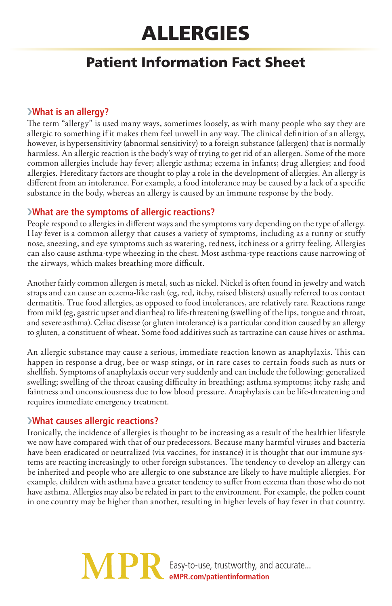# Allergies

# Patient Information Fact Sheet

## ›**What is an allergy?**

The term "allergy" is used many ways, sometimes loosely, as with many people who say they are allergic to something if it makes them feel unwell in any way. The clinical definition of an allergy, however, is hypersensitivity (abnormal sensitivity) to a foreign substance (allergen) that is normally harmless. An allergic reaction is the body's way of trying to get rid of an allergen. Some of the more common allergies include hay fever; allergic asthma; eczema in infants; drug allergies; and food allergies. Hereditary factors are thought to play a role in the development of allergies. An allergy is different from an intolerance. For example, a food intolerance may be caused by a lack of a specific substance in the body, whereas an allergy is caused by an immune response by the body.

# ›**What are the symptoms of allergic reactions?**

People respond to allergies in different ways and the symptoms vary depending on the type of allergy. Hay fever is a common allergy that causes a variety of symptoms, including as a runny or stuffy nose, sneezing, and eye symptoms such as watering, redness, itchiness or a gritty feeling. Allergies can also cause asthma-type wheezing in the chest. Most asthma-type reactions cause narrowing of the airways, which makes breathing more difficult.

Another fairly common allergen is metal, such as nickel. Nickel is often found in jewelry and watch straps and can cause an eczema-like rash (eg, red, itchy, raised blisters) usually referred to as contact dermatitis. True food allergies, as opposed to food intolerances, are relatively rare. Reactions range from mild (eg, gastric upset and diarrhea) to life-threatening (swelling of the lips, tongue and throat, and severe asthma). Celiac disease (or gluten intolerance) is a particular condition caused by an allergy to gluten, a constituent of wheat. Some food additives such as tartrazine can cause hives or asthma.

An allergic substance may cause a serious, immediate reaction known as anaphylaxis. This can happen in response a drug, bee or wasp stings, or in rare cases to certain foods such as nuts or shellfish. Symptoms of anaphylaxis occur very suddenly and can include the following: generalized swelling; swelling of the throat causing difficulty in breathing; asthma symptoms; itchy rash; and faintness and unconsciousness due to low blood pressure. Anaphylaxis can be life-threatening and requires immediate emergency treatment.

#### ›**What causes allergic reactions?**

Ironically, the incidence of allergies is thought to be increasing as a result of the healthier lifestyle we now have compared with that of our predecessors. Because many harmful viruses and bacteria have been eradicated or neutralized (via vaccines, for instance) it is thought that our immune systems are reacting increasingly to other foreign substances. The tendency to develop an allergy can be inherited and people who are allergic to one substance are likely to have multiple allergies. For example, children with asthma have a greater tendency to suffer from eczema than those who do not have asthma. Allergies may also be related in part to the environment. For example, the pollen count in one country may be higher than another, resulting in higher levels of hay fever in that country.

> Easy-to-use, trustworthy, and accurate... **eMPR.com/patientinformation**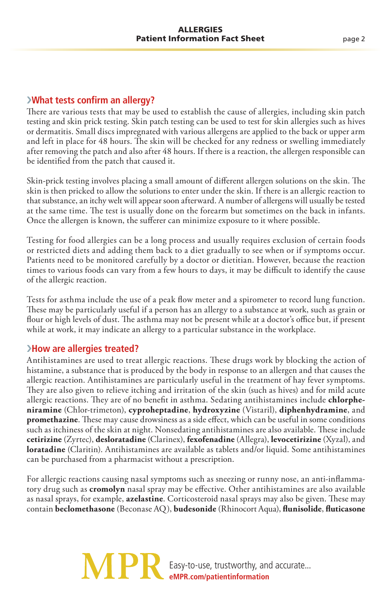#### ›**What tests confirm an allergy?**

There are various tests that may be used to establish the cause of allergies, including skin patch testing and skin prick testing. Skin patch testing can be used to test for skin allergies such as hives or dermatitis. Small discs impregnated with various allergens are applied to the back or upper arm and left in place for 48 hours. The skin will be checked for any redness or swelling immediately after removing the patch and also after 48 hours. If there is a reaction, the allergen responsible can be identified from the patch that caused it.

Skin-prick testing involves placing a small amount of different allergen solutions on the skin. The skin is then pricked to allow the solutions to enter under the skin. If there is an allergic reaction to that substance, an itchy welt will appear soon afterward. A number of allergens will usually be tested at the same time. The test is usually done on the forearm but sometimes on the back in infants. Once the allergen is known, the sufferer can minimize exposure to it where possible.

Testing for food allergies can be a long process and usually requires exclusion of certain foods or restricted diets and adding them back to a diet gradually to see when or if symptoms occur. Patients need to be monitored carefully by a doctor or dietitian. However, because the reaction times to various foods can vary from a few hours to days, it may be difficult to identify the cause of the allergic reaction.

Tests for asthma include the use of a peak flow meter and a spirometer to record lung function. These may be particularly useful if a person has an allergy to a substance at work, such as grain or flour or high levels of dust. The asthma may not be present while at a doctor's office but, if present while at work, it may indicate an allergy to a particular substance in the workplace.

#### ›**How are allergies treated?**

Antihistamines are used to treat allergic reactions. These drugs work by blocking the action of histamine, a substance that is produced by the body in response to an allergen and that causes the allergic reaction. Antihistamines are particularly useful in the treatment of hay fever symptoms. They are also given to relieve itching and irritation of the skin (such as hives) and for mild acute allergic reactions. They are of no benefit in asthma. Sedating antihistamines include **chlorpheniramine** (Chlor-trimeton), **cyproheptadine**, **hydroxyzine** (Vistaril), **diphenhydramine**, and **promethazine**. These may cause drowsiness as a side effect, which can be useful in some conditions such as itchiness of the skin at night. Nonsedating antihistamines are also available. These include **cetirizine** (Zyrtec), **desloratadine** (Clarinex), **fexofenadine** (Allegra), **levocetirizine** (Xyzal), and **loratadine** (Claritin). Antihistamines are available as tablets and/or liquid. Some antihistamines can be purchased from a pharmacist without a prescription.

For allergic reactions causing nasal symptoms such as sneezing or runny nose, an anti-inflammatory drug such as **cromolyn** nasal spray may be effective. Other antihistamines are also available as nasal sprays, for example, **azelastine**. Corticosteroid nasal sprays may also be given. These may contain **beclomethasone** (Beconase AQ), **budesonide** (Rhinocort Aqua), **flunisolide**, **fluticasone**